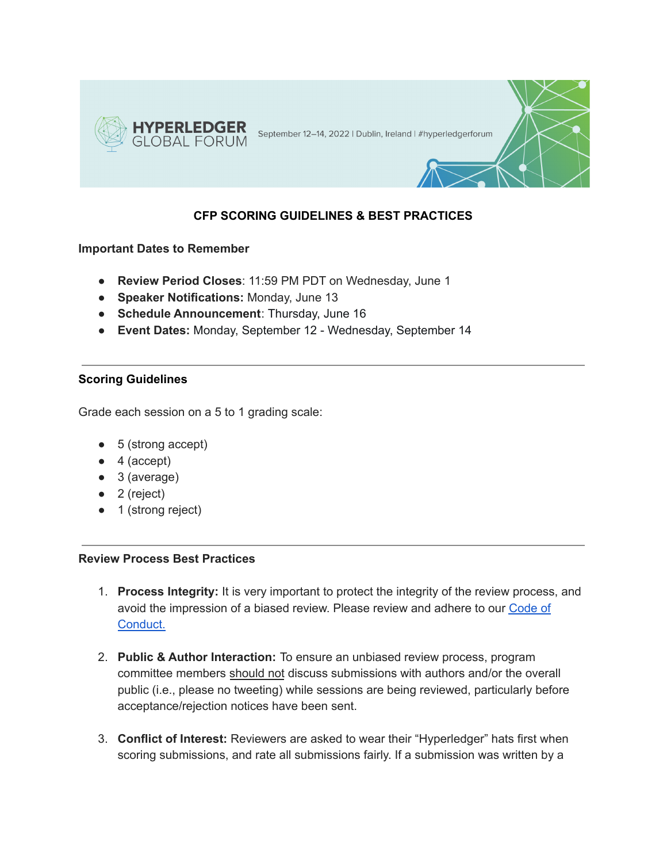

## **CFP SCORING GUIDELINES & BEST PRACTICES**

## **Important Dates to Remember**

- **Review Period Closes**: 11:59 PM PDT on Wednesday, June 1
- **Speaker Notifications:** Monday, June 13
- **Schedule Announcement**: Thursday, June 16
- **Event Dates:** Monday, September 12 Wednesday, September 14

## **Scoring Guidelines**

Grade each session on a 5 to 1 grading scale:

- 5 (strong accept)
- 4 (accept)
- 3 (average)
- 2 (reject)
- 1 (strong reject)

## **Review Process Best Practices**

- 1. **Process Integrity:** It is very important to protect the integrity of the review process, and avoid the impression of a biased review. Please review and adhere to our [Code](https://events.linuxfoundation.org/hyperledger-global-forum/attend/code-of-conduct/) of [Conduct.](https://events.linuxfoundation.org/hyperledger-global-forum/attend/code-of-conduct/)
- 2. **Public & Author Interaction:** To ensure an unbiased review process, program committee members should not discuss submissions with authors and/or the overall public (i.e., please no tweeting) while sessions are being reviewed, particularly before acceptance/rejection notices have been sent.
- 3. **Conflict of Interest:** Reviewers are asked to wear their "Hyperledger" hats first when scoring submissions, and rate all submissions fairly. If a submission was written by a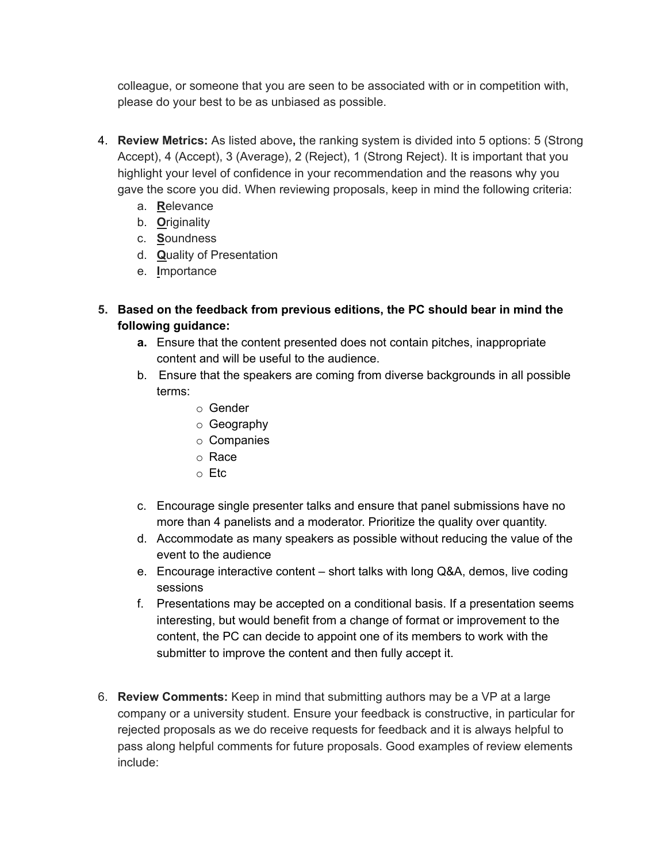colleague, or someone that you are seen to be associated with or in competition with, please do your best to be as unbiased as possible.

- 4. **Review Metrics:** As listed above**,** the ranking system is divided into 5 options: 5 (Strong Accept), 4 (Accept), 3 (Average), 2 (Reject), 1 (Strong Reject). It is important that you highlight your level of confidence in your recommendation and the reasons why you gave the score you did. When reviewing proposals, keep in mind the following criteria:
	- a. **R**elevance
	- b. **O**riginality
	- c. **S**oundness
	- d. **Q**uality of Presentation
	- e. **I**mportance
- **5. Based on the feedback from previous editions, the PC should bear in mind the following guidance:**
	- **a.** Ensure that the content presented does not contain pitches, inappropriate content and will be useful to the audience.
	- b. Ensure that the speakers are coming from diverse backgrounds in all possible terms:
		- o Gender
		- o Geography
		- o Companies
		- o Race
		- o Etc
	- c. Encourage single presenter talks and ensure that panel submissions have no more than 4 panelists and a moderator. Prioritize the quality over quantity.
	- d. Accommodate as many speakers as possible without reducing the value of the event to the audience
	- e. Encourage interactive content short talks with long Q&A, demos, live coding sessions
	- f. Presentations may be accepted on a conditional basis. If a presentation seems interesting, but would benefit from a change of format or improvement to the content, the PC can decide to appoint one of its members to work with the submitter to improve the content and then fully accept it.
- 6. **Review Comments:** Keep in mind that submitting authors may be a VP at a large company or a university student. Ensure your feedback is constructive, in particular for rejected proposals as we do receive requests for feedback and it is always helpful to pass along helpful comments for future proposals. Good examples of review elements include: